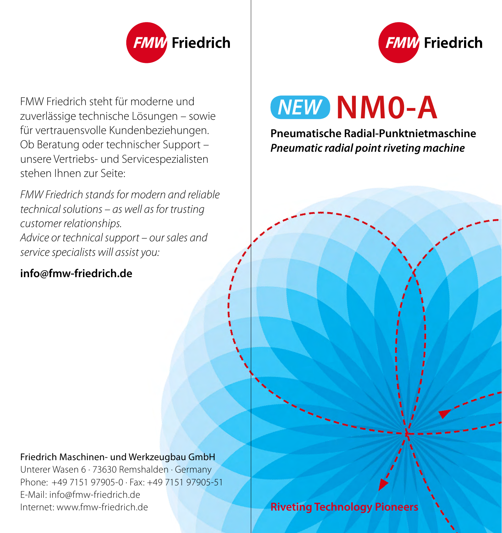

FMW Friedrich steht für moderne und zuverlässige technische Lösungen - sowie für vertrauensvolle Kundenbeziehungen. Ob Beratung oder technischer Support – unsere Vertriebs- und Servicespezialisten stehen Ihnen zur Seite:

*FMW Friedrich stands for modern and reliable technical solutions – as well as for trusting customer relationships. Advice or technical support – our sales and service specialists will assist you:*

### **info@fmw-friedrich.de**

Friedrich

## **MEW NM0-A**

**Pneumatische Radial-Punktnietmaschine** *Pneumatic radial point riveting machine*

#### Friedrich Maschinen- und Werkzeugbau GmbH

Unterer Wasen 6 · 73630 Remshalden · Germany Phone: +49 7151 97905-0 · Fax: +49 7151 97905-51 E-Mail: info@fmw-friedrich.de Internet: www.fmw-friedrich.de **Riveting Technology Pioneers**